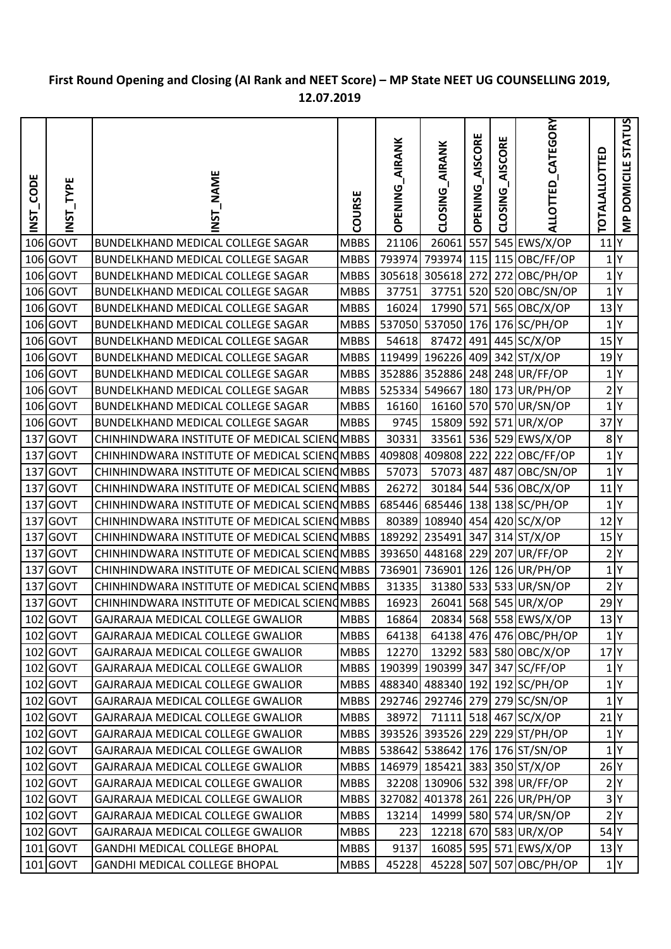## **First Round Opening and Closing (AI Rank and NEET Score) – MP State NEET UG COUNSELLING 2019, 12.07.2019**

| CODE<br>$\overline{\text{INST}}$ | TYPE<br><b>ISNI</b> | <b>NAME</b><br>52<br>N                        | COURSE      | <b>AIRANK</b><br><b>OPENING</b> | <b>AIRANK</b><br>CLOSING | <b>AISCORE</b><br><b>OPENING</b> | AISCORE<br><b>CLOSING</b> | CATEGORY<br><b>ALLOTTED</b>    | <b>TOTALALLOTTED</b> | <b>STATUS</b><br><b>DOMICILE</b><br>$\overline{\mathsf{z}}$ |
|----------------------------------|---------------------|-----------------------------------------------|-------------|---------------------------------|--------------------------|----------------------------------|---------------------------|--------------------------------|----------------------|-------------------------------------------------------------|
|                                  | 106 GOVT            | <b>BUNDELKHAND MEDICAL COLLEGE SAGAR</b>      | <b>MBBS</b> | 21106                           | 26061                    | 557                              |                           | 545 EWS/X/OP                   | $11$ <sup>Y</sup>    |                                                             |
|                                  | $106$ GOVT          | BUNDELKHAND MEDICAL COLLEGE SAGAR             | <b>MBBS</b> | 793974                          | 793974 115               |                                  |                           | 115 OBC/FF/OP                  | 1 Y                  |                                                             |
|                                  | 106 GOVT            | <b>BUNDELKHAND MEDICAL COLLEGE SAGAR</b>      | <b>MBBS</b> |                                 | 305618 305618 272        |                                  |                           | 272 OBC/PH/OP                  | 1 Y                  |                                                             |
|                                  | $106$ GOVT          | <b>BUNDELKHAND MEDICAL COLLEGE SAGAR</b>      | <b>MBBS</b> | 37751                           | 37751                    |                                  |                           | 520 520 OBC/SN/OP              | 1 <sup>N</sup>       |                                                             |
|                                  | 106 GOVT            | <b>BUNDELKHAND MEDICAL COLLEGE SAGAR</b>      | <b>MBBS</b> | 16024                           | 17990 571                |                                  |                           | 565 OBC/X/OP                   | $13$ <sup>Y</sup>    |                                                             |
|                                  | $106$ GOVT          | BUNDELKHAND MEDICAL COLLEGE SAGAR             | <b>MBBS</b> |                                 | 537050 537050 176        |                                  |                           | 176 SC/PH/OP                   | 1 <sup>N</sup>       |                                                             |
|                                  | 106 GOVT            | <b>BUNDELKHAND MEDICAL COLLEGE SAGAR</b>      | <b>MBBS</b> | 54618                           | 87472                    | 491                              |                           | 445 SC/X/OP                    | $15$ <sup>Y</sup>    |                                                             |
|                                  | $106$ GOVT          | <b>BUNDELKHAND MEDICAL COLLEGE SAGAR</b>      | <b>MBBS</b> |                                 | 119499 196226 409        |                                  |                           | 342 ST/X/OP                    | $19$ <sup>Y</sup>    |                                                             |
|                                  | $106$ GOVT          | <b>BUNDELKHAND MEDICAL COLLEGE SAGAR</b>      | <b>MBBS</b> |                                 | 352886 352886 248        |                                  |                           | 248 UR/FF/OP                   | 1 <sup>N</sup>       |                                                             |
|                                  | 106 GOVT            | <b>BUNDELKHAND MEDICAL COLLEGE SAGAR</b>      | <b>MBBS</b> | 525334 549667                   |                          | 180                              |                           | 173 UR/PH/OP                   | 2 Y                  |                                                             |
|                                  | $106$ GOVT          | <b>BUNDELKHAND MEDICAL COLLEGE SAGAR</b>      | <b>MBBS</b> | 16160                           |                          |                                  |                           | 16160 570 570 UR/SN/OP         | 1 Y                  |                                                             |
|                                  | $106$ GOVT          | BUNDELKHAND MEDICAL COLLEGE SAGAR             | <b>MBBS</b> | 9745                            | 15809 592                |                                  |                           | 571 UR/X/OP                    | 37 <sup>1</sup> Y    |                                                             |
|                                  | $137$ GOVT          | CHINHINDWARA INSTITUTE OF MEDICAL SCIEN (MBBS |             | 30331                           | 33561                    |                                  |                           | 536 529 EWS/X/OP               | 8 <sup>Y</sup>       |                                                             |
|                                  | 137 GOVT            | CHINHINDWARA INSTITUTE OF MEDICAL SCIEN (MBBS |             | 409808                          | 409808 222               |                                  |                           | 222 OBC/FF/OP                  | 1 Y                  |                                                             |
|                                  | 137 GOVT            | CHINHINDWARA INSTITUTE OF MEDICAL SCIEN (MBBS |             | 57073                           | 57073 487                |                                  |                           | 487 OBC/SN/OP                  | 1 Y                  |                                                             |
|                                  | 137 GOVT            | CHINHINDWARA INSTITUTE OF MEDICAL SCIEN (MBBS |             | 26272                           |                          |                                  |                           | 30184 544 536 OBC/X/OP         | $11$ <sup>Y</sup>    |                                                             |
|                                  | 137 GOVT            | CHINHINDWARA INSTITUTE OF MEDICAL SCIEN (MBBS |             |                                 | 685446 685446 138        |                                  |                           | 138 SC/PH/OP                   | 1 Y                  |                                                             |
|                                  | 137 GOVT            | CHINHINDWARA INSTITUTE OF MEDICAL SCIEN (MBBS |             |                                 | 80389 108940 454         |                                  |                           | $420$ SC/X/OP                  | $12$ Y               |                                                             |
| 137                              | <b>GOVT</b>         | CHINHINDWARA INSTITUTE OF MEDICAL SCIEN (MBBS |             |                                 | 189292 235491            | 347                              |                           | $314$ ST/X/OP                  | $15$ <sup>Y</sup>    |                                                             |
| 137                              | <b>GOVT</b>         | CHINHINDWARA INSTITUTE OF MEDICAL SCIEN (MBBS |             |                                 | 393650 448168 229        |                                  |                           | 207 UR/FF/OP                   | 2 Y                  |                                                             |
|                                  | 137 GOVT            | CHINHINDWARA INSTITUTE OF MEDICAL SCIENDMBBS  |             |                                 | 736901 736901 126        |                                  |                           | 126 UR/PH/OP                   | 1 Y                  |                                                             |
|                                  | 137 GOVT            | CHINHINDWARA INSTITUTE OF MEDICAL SCIEN (MBBS |             | 31335                           |                          |                                  |                           | 31380 533 533 UR/SN/OP         | 2 Y                  |                                                             |
|                                  | 137 GOVT            | CHINHINDWARA INSTITUTE OF MEDICAL SCIENDMBBS  |             | 16923                           | 26041                    |                                  |                           | 568 545 UR/X/OP                | $29$ <sup>Y</sup>    |                                                             |
|                                  | $102$ GOVT          | GAJRARAJA MEDICAL COLLEGE GWALIOR             | <b>MBBS</b> | 16864                           |                          |                                  |                           | 20834 568 558 EWS/X/OP         | $13$ <sup>Y</sup>    |                                                             |
|                                  | 102 GOVT            | GAJRARAJA MEDICAL COLLEGE GWALIOR             | <b>MBBS</b> | 64138                           |                          |                                  |                           | 64138 476 476 OBC/PH/OP        | 1 Y                  |                                                             |
|                                  | 102 GOVT            | GAJRARAJA MEDICAL COLLEGE GWALIOR             | <b>MBBS</b> | 12270                           |                          |                                  |                           | 13292 583 580 OBC/X/OP         | $17$ <sup>Y</sup>    |                                                             |
|                                  | 102 GOVT            | GAJRARAJA MEDICAL COLLEGE GWALIOR             | <b>MBBS</b> |                                 | 190399 190399 347        |                                  |                           | 347 SC/FF/OP                   | 1 Y                  |                                                             |
|                                  | 102 GOVT            | GAJRARAJA MEDICAL COLLEGE GWALIOR             | <b>MBBS</b> |                                 | 488340 488340 192        |                                  |                           | 192 SC/PH/OP                   | 1 Y                  |                                                             |
|                                  | 102 GOVT            | GAJRARAJA MEDICAL COLLEGE GWALIOR             | <b>MBBS</b> |                                 |                          |                                  |                           | 292746 292746 279 279 SC/SN/OP | 1 Y                  |                                                             |
|                                  | 102 GOVT            | GAJRARAJA MEDICAL COLLEGE GWALIOR             | <b>MBBS</b> | 38972                           |                          |                                  |                           | 71111 518 467 SC/X/OP          | $21$ <sup>Y</sup>    |                                                             |
|                                  | 102 GOVT            | GAJRARAJA MEDICAL COLLEGE GWALIOR             | <b>MBBS</b> |                                 | 393526 393526 229        |                                  |                           | 229 ST/PH/OP                   | 1 Y                  |                                                             |
|                                  | 102 GOVT            | GAJRARAJA MEDICAL COLLEGE GWALIOR             | <b>MBBS</b> |                                 | 538642 538642 176        |                                  |                           | 176 ST/SN/OP                   | 1 Y                  |                                                             |
|                                  | 102 GOVT            | GAJRARAJA MEDICAL COLLEGE GWALIOR             | <b>MBBS</b> |                                 |                          |                                  |                           | 146979 185421 383 350 ST/X/OP  | $26$ <sup>Y</sup>    |                                                             |
|                                  | 102 GOVT            | GAJRARAJA MEDICAL COLLEGE GWALIOR             | <b>MBBS</b> |                                 |                          |                                  |                           | 32208 130906 532 398 UR/FF/OP  | 2 Y                  |                                                             |
|                                  | 102 GOVT            | GAJRARAJA MEDICAL COLLEGE GWALIOR             | <b>MBBS</b> |                                 |                          |                                  |                           | 327082 401378 261 226 UR/PH/OP | 3 Y                  |                                                             |
|                                  | 102 GOVT            | GAJRARAJA MEDICAL COLLEGE GWALIOR             | <b>MBBS</b> | 13214                           |                          |                                  |                           | 14999 580 574 UR/SN/OP         | 2 Y                  |                                                             |
|                                  | 102 GOVT            | GAJRARAJA MEDICAL COLLEGE GWALIOR             | <b>MBBS</b> | 223                             |                          |                                  |                           | 12218 670 583 UR/X/OP          | 54 Y                 |                                                             |
|                                  | $101$ GOVT          | GANDHI MEDICAL COLLEGE BHOPAL                 | <b>MBBS</b> | 9137                            |                          |                                  |                           | 16085 595 571 EWS/X/OP         | 13 Y                 |                                                             |
|                                  | 101 GOVT            | GANDHI MEDICAL COLLEGE BHOPAL                 | <b>MBBS</b> | 45228                           | 45228 507                |                                  |                           | 507 OBC/PH/OP                  | 1 Y                  |                                                             |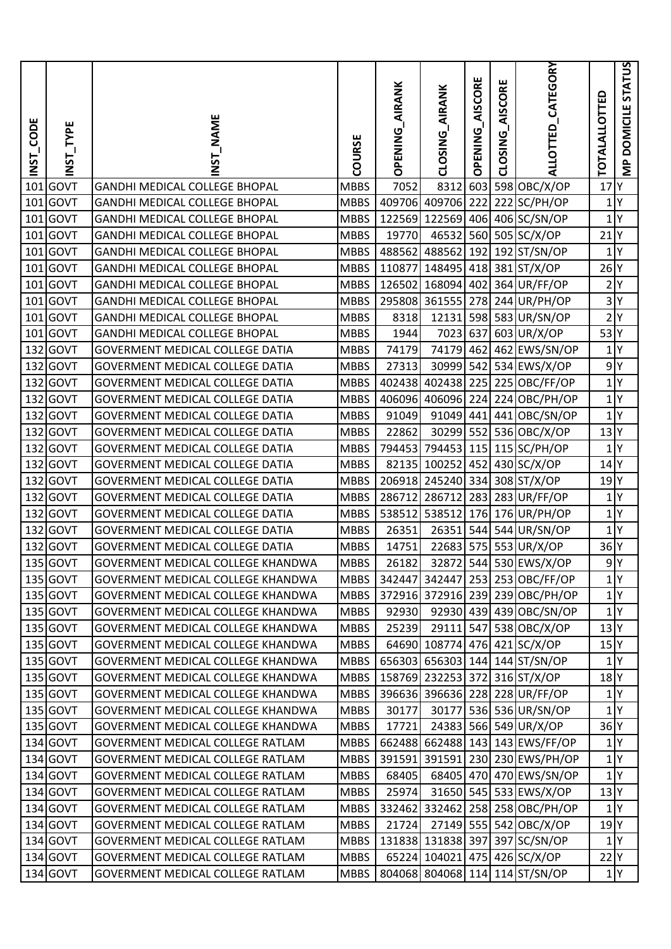| _CODE<br>$\frac{1}{2}$ | TYPE<br><b>TSNI</b> | NST_NAME                                 | COURSE      | <b>AIRANK</b><br><b>OPENING</b> | <b>AIRANK</b><br><b>CLOSING</b> | <b>AISCORE</b><br><b>OPENING</b> | AISCORE<br><b>CLOSING</b> | ALLOTTED_CATEGORY               | TOTALALLOTTED     | MP DOMICILE STATUS |
|------------------------|---------------------|------------------------------------------|-------------|---------------------------------|---------------------------------|----------------------------------|---------------------------|---------------------------------|-------------------|--------------------|
| 101                    | GOVT                | <b>GANDHI MEDICAL COLLEGE BHOPAL</b>     | <b>MBBS</b> | 7052                            | 8312                            |                                  |                           | 603 598 OBC/X/OP                | 17                | I۷                 |
| 101                    | GOVT                | <b>GANDHI MEDICAL COLLEGE BHOPAL</b>     | <b>MBBS</b> |                                 | 409706 409706                   | 222                              |                           | 222 SC/PH/OP                    | 1 Y               |                    |
|                        | 101 GOVT            | <b>GANDHI MEDICAL COLLEGE BHOPAL</b>     | <b>MBBS</b> |                                 |                                 |                                  |                           | 122569 122569 406 406 SC/SN/OP  | $1$ $Y$           |                    |
| 101                    | <b>GOVT</b>         | <b>GANDHI MEDICAL COLLEGE BHOPAL</b>     | <b>MBBS</b> | 19770                           | 46532                           |                                  |                           | 560 505 SC/X/OP                 | $21$ <sup>Y</sup> |                    |
|                        | 101 GOVT            | <b>GANDHI MEDICAL COLLEGE BHOPAL</b>     | <b>MBBS</b> | 488562 488562                   |                                 |                                  |                           | 192 192 ST/SN/OP                | $1$ $Y$           |                    |
| 101                    | <b>GOVT</b>         | <b>GANDHI MEDICAL COLLEGE BHOPAL</b>     | <b>MBBS</b> |                                 | 110877 148495                   |                                  |                           | 418 381 ST/X/OP                 | $26$ <sup>Y</sup> |                    |
| 101                    | GOVT                | GANDHI MEDICAL COLLEGE BHOPAL            | <b>MBBS</b> |                                 | 126502 168094                   | 402                              |                           | 364 UR/FF/OP                    | 2 Y               |                    |
| 101                    | <b>GOVT</b>         | <b>GANDHI MEDICAL COLLEGE BHOPAL</b>     | <b>MBBS</b> |                                 | 295808 361555 278               |                                  |                           | $244$ UR/PH/OP                  | 3 Y               |                    |
| 101                    | <b>GOVT</b>         | <b>GANDHI MEDICAL COLLEGE BHOPAL</b>     | <b>MBBS</b> | 8318                            | 12131                           |                                  |                           | 598 583 UR/SN/OP                | 2 <sup>Y</sup>    |                    |
|                        | 101 GOVT            | <b>GANDHI MEDICAL COLLEGE BHOPAL</b>     | <b>MBBS</b> | 1944                            | 7023                            | 637                              |                           | 603 UR/X/OP                     | 53 Y              |                    |
|                        | 132 GOVT            | <b>GOVERMENT MEDICAL COLLEGE DATIA</b>   | <b>MBBS</b> | 74179                           | 74179                           | 462                              |                           | 462 EWS/SN/OP                   | $1$ $Y$           |                    |
|                        | 132 GOVT            | <b>GOVERMENT MEDICAL COLLEGE DATIA</b>   | <b>MBBS</b> | 27313                           |                                 |                                  |                           | 30999 542 534 EWS/X/OP          | 9 Y               |                    |
| 132                    | <b>GOVT</b>         | <b>GOVERMENT MEDICAL COLLEGE DATIA</b>   | <b>MBBS</b> | 402438                          | 402438 225                      |                                  |                           | 225 OBC/FF/OP                   | 1 Y               |                    |
| 132                    | GOVT                | <b>GOVERMENT MEDICAL COLLEGE DATIA</b>   | <b>MBBS</b> |                                 | 406096 406096 224               |                                  |                           | 224 OBC/PH/OP                   | 1 Y               |                    |
|                        | 132 GOVT            | <b>GOVERMENT MEDICAL COLLEGE DATIA</b>   | <b>MBBS</b> | 91049                           | 91049 441                       |                                  |                           | 441 OBC/SN/OP                   | $1$ Y             |                    |
|                        | 132 GOVT            | <b>GOVERMENT MEDICAL COLLEGE DATIA</b>   | <b>MBBS</b> | 22862                           |                                 |                                  |                           | 30299 552 536 OBC/X/OP          | $13$ <sup>Y</sup> |                    |
|                        | 132 GOVT            | <b>GOVERMENT MEDICAL COLLEGE DATIA</b>   | <b>MBBS</b> |                                 |                                 |                                  |                           | 794453 794453 115 115 SC/PH/OP  |                   | 1 Y                |
| 132                    | <b>GOVT</b>         | <b>GOVERMENT MEDICAL COLLEGE DATIA</b>   | <b>MBBS</b> |                                 | 82135 100252 452                |                                  |                           | 430 SC/X/OP                     | $14$ Y            |                    |
|                        | 132 GOVT            | GOVERMENT MEDICAL COLLEGE DATIA          | <b>MBBS</b> |                                 |                                 |                                  |                           | 206918 245240 334 308 ST/X/OP   | $19$ <sup>Y</sup> |                    |
| 132                    | GOVT                | <b>GOVERMENT MEDICAL COLLEGE DATIA</b>   | <b>MBBS</b> | 286712 286712                   |                                 |                                  |                           | 283 283 UR/FF/OP                |                   | 1 Y                |
| 132                    | <b>GOVT</b>         | <b>GOVERMENT MEDICAL COLLEGE DATIA</b>   | <b>MBBS</b> | 538512 538512                   |                                 |                                  |                           | 176 176 UR/PH/OP                |                   | $1$ Y              |
|                        | 132 GOVT            | <b>GOVERMENT MEDICAL COLLEGE DATIA</b>   | <b>MBBS</b> | 26351                           | 26351                           |                                  |                           | 544 544 UR/SN/OP                | 1 Y               |                    |
| 132                    | <b>GOVT</b>         | GOVERMENT MEDICAL COLLEGE DATIA          | <b>MBBS</b> | 14751                           |                                 |                                  |                           | 22683 575 553 UR/X/OP           | $36$ <sup>Y</sup> |                    |
|                        | 135 GOVT            | <b>GOVERMENT MEDICAL COLLEGE KHANDWA</b> | <b>MBBS</b> | 26182                           |                                 |                                  |                           | 32872 544 530 EWS/X/OP          | 9 Y               |                    |
|                        | 135 GOVT            | <b>GOVERMENT MEDICAL COLLEGE KHANDWA</b> | <b>MBBS</b> |                                 |                                 |                                  |                           | 342447 342447 253 253 OBC/FF/OP |                   | 1 <sup>Y</sup>     |
|                        | 135 GOVT            | GOVERMENT MEDICAL COLLEGE KHANDWA        | <b>MBBS</b> |                                 |                                 |                                  |                           | 372916 372916 239 239 OBC/PH/OP |                   | 1 Y                |
|                        | 135 GOVT            | GOVERMENT MEDICAL COLLEGE KHANDWA        | <b>MBBS</b> |                                 |                                 |                                  |                           | 92930 92930 439 439 OBC/SN/OP   |                   | 1 <sup>Y</sup>     |
|                        | 135 GOVT            | GOVERMENT MEDICAL COLLEGE KHANDWA        | MBBS        | 25239                           |                                 |                                  |                           | 29111 547 538 OBC/X/OP          | 13 Y              |                    |
|                        | 135 GOVT            | GOVERMENT MEDICAL COLLEGE KHANDWA        | <b>MBBS</b> |                                 |                                 |                                  |                           | 64690 108774 476 421 SC/X/OP    | 15 <sup>Y</sup>   |                    |
|                        | 135 GOVT            | GOVERMENT MEDICAL COLLEGE KHANDWA        | <b>MBBS</b> |                                 |                                 |                                  |                           | 656303 656303 144 144 ST/SN/OP  |                   | 1 <sup>Y</sup>     |
|                        | 135 GOVT            | GOVERMENT MEDICAL COLLEGE KHANDWA        | <b>MBBS</b> |                                 |                                 |                                  |                           | 158769 232253 372 316 ST/X/OP   | $18$ <sup>Y</sup> |                    |
|                        | 135 GOVT            | GOVERMENT MEDICAL COLLEGE KHANDWA        | <b>MBBS</b> |                                 |                                 |                                  |                           | 396636 396636 228 228 UR/FF/OP  | 1 Y               |                    |
|                        | $135$ GOVT          | GOVERMENT MEDICAL COLLEGE KHANDWA        | <b>MBBS</b> | 30177                           | 30177                           |                                  |                           | 536 536 UR/SN/OP                | 1 Y               |                    |
|                        | $135$ GOVT          | GOVERMENT MEDICAL COLLEGE KHANDWA        | MBBS        | 17721                           |                                 |                                  |                           | 24383 566 549 UR/X/OP           | $36$ <sup>Y</sup> |                    |
|                        | 134 GOVT            | GOVERMENT MEDICAL COLLEGE RATLAM         | <b>MBBS</b> |                                 |                                 |                                  |                           | 662488 662488 143 143 EWS/FF/OP | $1$ <sup>Y</sup>  |                    |
|                        | 134 GOVT            | GOVERMENT MEDICAL COLLEGE RATLAM         | <b>MBBS</b> |                                 |                                 |                                  |                           | 391591 391591 230 230 EWS/PH/OP |                   | 1 Y                |
|                        | 134 GOVT            | <b>GOVERMENT MEDICAL COLLEGE RATLAM</b>  | <b>MBBS</b> | 68405                           |                                 |                                  |                           | 68405 470 470 EWS/SN/OP         |                   | 1 Y                |
|                        | 134 GOVT            | GOVERMENT MEDICAL COLLEGE RATLAM         | <b>MBBS</b> | 25974                           |                                 |                                  |                           | 31650 545 533 EWS/X/OP          | 13 <sup>Y</sup>   |                    |
|                        | 134 GOVT            | GOVERMENT MEDICAL COLLEGE RATLAM         | <b>MBBS</b> |                                 |                                 |                                  |                           | 332462 332462 258 258 OBC/PH/OP |                   | 1 <sup>Y</sup>     |
|                        | 134 GOVT            | GOVERMENT MEDICAL COLLEGE RATLAM         | <b>MBBS</b> | 21724                           |                                 |                                  |                           | 27149 555 542 OBC/X/OP          | $19$ <sup>Y</sup> |                    |
|                        | 134 GOVT            | GOVERMENT MEDICAL COLLEGE RATLAM         | MBBS        |                                 |                                 |                                  |                           | 131838 131838 397 397 SC/SN/OP  |                   | 1 <sup>Y</sup>     |
|                        | 134 GOVT            | GOVERMENT MEDICAL COLLEGE RATLAM         | <b>MBBS</b> |                                 |                                 |                                  |                           | 65224 104021 475 426 SC/X/OP    | 22 Y              |                    |
|                        | 134 GOVT            | GOVERMENT MEDICAL COLLEGE RATLAM         | <b>MBBS</b> |                                 |                                 |                                  |                           | 804068 804068 114 114 ST/SN/OP  |                   | 1 Y                |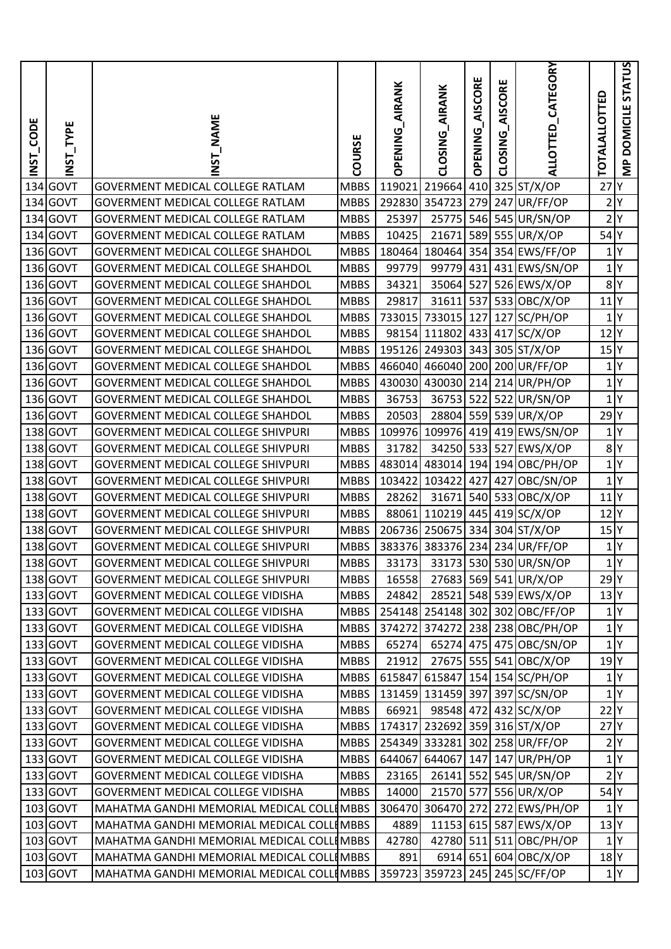| <b>ECODE</b><br><b>INST</b> | INST_TYPE   | <b>NAME</b><br><b>USL</b>                 | COURSE      | AIRANK<br><b>OPENING</b> | CLOSING AIRANK    | AISCORE<br><b>OPENING</b> | AISCORE<br>CLOSING | ALLOTTED_CATEGORY               | <b>TOTALALLOTTED</b> | <b>DOMICILE STATUS</b><br>$\frac{P}{\sum}$ |
|-----------------------------|-------------|-------------------------------------------|-------------|--------------------------|-------------------|---------------------------|--------------------|---------------------------------|----------------------|--------------------------------------------|
| 134                         | GOVT        | <b>GOVERMENT MEDICAL COLLEGE RATLAM</b>   | <b>MBBS</b> | 119021                   | 219664            | 410                       |                    | 325 ST/X/OP                     | 27                   | lΥ                                         |
| 134                         | GOVT        | GOVERMENT MEDICAL COLLEGE RATLAM          | <b>MBBS</b> | 292830                   | 354723            | 279                       |                    | 247 UR/FF/OP                    | 2 Y                  |                                            |
| 134                         | <b>GOVT</b> | GOVERMENT MEDICAL COLLEGE RATLAM          | <b>MBBS</b> | 25397                    | 25775             |                           |                    | 546 545 UR/SN/OP                | 2 Y                  |                                            |
| 134                         | <b>GOVT</b> | GOVERMENT MEDICAL COLLEGE RATLAM          | <b>MBBS</b> | 10425                    | 21671             |                           |                    | 589 555 UR/X/OP                 | $54$ <sup>Y</sup>    |                                            |
|                             | 136 GOVT    | <b>GOVERMENT MEDICAL COLLEGE SHAHDOL</b>  | <b>MBBS</b> | 180464                   |                   |                           |                    | 180464 354 354 EWS/FF/OP        |                      | $1$ $Y$                                    |
|                             | 136 GOVT    | <b>GOVERMENT MEDICAL COLLEGE SHAHDOL</b>  | <b>MBBS</b> | 99779                    | 99779             | 431                       |                    | 431 EWS/SN/OP                   |                      | 1 Y                                        |
|                             | 136 GOVT    | <b>GOVERMENT MEDICAL COLLEGE SHAHDOL</b>  | <b>MBBS</b> | 34321                    | 35064             | 527                       |                    | 526 EWS/X/OP                    | 8 <sup>Y</sup>       |                                            |
|                             | 136 GOVT    | <b>GOVERMENT MEDICAL COLLEGE SHAHDOL</b>  | <b>MBBS</b> | 29817                    | 31611             | 537                       |                    | 533 OBC/X/OP                    | $11$ <sup>Y</sup>    |                                            |
|                             | 136 GOVT    | <b>GOVERMENT MEDICAL COLLEGE SHAHDOL</b>  | <b>MBBS</b> | 733015                   | 733015            | 127                       | 127                | SC/PH/OP                        | 1                    | I٢                                         |
|                             | 136 GOVT    | <b>GOVERMENT MEDICAL COLLEGE SHAHDOL</b>  | <b>MBBS</b> |                          |                   |                           |                    | 98154 111802 433 417 SC/X/OP    | $12$ Y               |                                            |
|                             | 136 GOVT    | <b>GOVERMENT MEDICAL COLLEGE SHAHDOL</b>  | <b>MBBS</b> |                          |                   |                           |                    | 195126 249303 343 305 ST/X/OP   | $15$ <sup>Y</sup>    |                                            |
|                             | 136 GOVT    | <b>GOVERMENT MEDICAL COLLEGE SHAHDOL</b>  | <b>MBBS</b> |                          |                   |                           |                    | 466040 466040 200 200 UR/FF/OP  | 1 Y                  |                                            |
|                             | 136 GOVT    | <b>GOVERMENT MEDICAL COLLEGE SHAHDOL</b>  | <b>MBBS</b> |                          | 430030 430030 214 |                           |                    | 214 UR/PH/OP                    | 1 Y                  |                                            |
|                             | 136 GOVT    | <b>GOVERMENT MEDICAL COLLEGE SHAHDOL</b>  | <b>MBBS</b> | 36753                    | 36753             | 522                       |                    | 522 UR/SN/OP                    | 1 Y                  |                                            |
|                             | 136 GOVT    | <b>GOVERMENT MEDICAL COLLEGE SHAHDOL</b>  | <b>MBBS</b> | 20503                    | 28804             |                           |                    | 559 539 UR/X/OP                 | $29$ <sup>Y</sup>    |                                            |
|                             | 138 GOVT    | <b>GOVERMENT MEDICAL COLLEGE SHIVPURI</b> | <b>MBBS</b> |                          |                   |                           |                    | 109976 109976 419 419 EWS/SN/OP |                      | $1$ $Y$                                    |
|                             | 138 GOVT    | <b>GOVERMENT MEDICAL COLLEGE SHIVPURI</b> | <b>MBBS</b> | 31782                    |                   |                           |                    | 34250 533 527 EWS/X/OP          | 8 <sup>Y</sup>       |                                            |
|                             | 138 GOVT    | <b>GOVERMENT MEDICAL COLLEGE SHIVPURI</b> | <b>MBBS</b> |                          | 483014 483014     |                           |                    | 194 194 OBC/PH/OP               | 1 Y                  |                                            |
|                             | 138 GOVT    | <b>GOVERMENT MEDICAL COLLEGE SHIVPURI</b> | <b>MBBS</b> |                          | 103422 103422     | 427                       | 427                | OBC/SN/OP                       | 1 Y                  |                                            |
|                             | 138 GOVT    | <b>GOVERMENT MEDICAL COLLEGE SHIVPURI</b> | <b>MBBS</b> | 28262                    | 31671             |                           |                    | 540 533 OBC/X/OP                | $11$ <sup>Y</sup>    |                                            |
| 138                         | GOVT        | <b>GOVERMENT MEDICAL COLLEGE SHIVPURI</b> | <b>MBBS</b> |                          | 88061 110219      | 445                       |                    | 419 SC/X/OP                     | 12 <sub>Y</sub>      |                                            |
| 138                         | GOVT        | <b>GOVERMENT MEDICAL COLLEGE SHIVPURI</b> | <b>MBBS</b> |                          |                   |                           |                    | 206736 250675 334 304 ST/X/OP   | $15$ <sup>Y</sup>    |                                            |
|                             | 138 GOVT    | <b>GOVERMENT MEDICAL COLLEGE SHIVPURI</b> | <b>MBBS</b> |                          |                   |                           |                    | 383376 383376 234 234 UR/FF/OP  | 1                    | I٢                                         |
|                             | 138 GOVT    | GOVERMENT MEDICAL COLLEGE SHIVPURI        | <b>MBBS</b> |                          |                   |                           |                    | 33173 33173 530 530 UR/SN/OP    |                      | $1$ Y                                      |
|                             | 138 GOVT    | <b>GOVERMENT MEDICAL COLLEGE SHIVPURI</b> | <b>MBBS</b> | 16558                    |                   |                           |                    | 27683 569 541 UR/X/OP           | $29$ <sup>Y</sup>    |                                            |
|                             | 133 GOVT    | GOVERMENT MEDICAL COLLEGE VIDISHA         | MBBS        | 24842                    |                   |                           |                    | 28521 548 539 EWS/X/OP          | $13$ <sup>Y</sup>    |                                            |
|                             | 133 GOVT    | <b>GOVERMENT MEDICAL COLLEGE VIDISHA</b>  | <b>MBBS</b> |                          |                   |                           |                    | 254148 254148 302 302 OBC/FF/OP | 1 Y                  |                                            |
|                             | $133$ GOVT  | GOVERMENT MEDICAL COLLEGE VIDISHA         | <b>MBBS</b> |                          |                   |                           |                    | 374272 374272 238 238 OBC/PH/OP |                      | 1 Y                                        |
|                             | 133 GOVT    | GOVERMENT MEDICAL COLLEGE VIDISHA         | <b>MBBS</b> | 65274                    |                   |                           |                    | 65274 475 475 OBC/SN/OP         |                      | 1 <sup>Y</sup>                             |
|                             | 133 GOVT    | <b>GOVERMENT MEDICAL COLLEGE VIDISHA</b>  | <b>MBBS</b> | 21912                    |                   |                           |                    | 27675 555 541 OBC/X/OP          | 19 <sup>Y</sup>      |                                            |
|                             | $133$ GOVT  | <b>GOVERMENT MEDICAL COLLEGE VIDISHA</b>  | <b>MBBS</b> |                          |                   |                           |                    | 615847 615847 154 154 SC/PH/OP  |                      | 1 Y                                        |
|                             | $133$ GOVT  | <b>GOVERMENT MEDICAL COLLEGE VIDISHA</b>  | <b>MBBS</b> |                          | 131459 131459 397 |                           |                    | 397 SC/SN/OP                    |                      | 1 Y                                        |
|                             | $133$ GOVT  | GOVERMENT MEDICAL COLLEGE VIDISHA         | <b>MBBS</b> | 66921                    |                   |                           |                    | 98548 472 432 SC/X/OP           | 22 Y                 |                                            |
|                             | $133$ GOVT  | GOVERMENT MEDICAL COLLEGE VIDISHA         | <b>MBBS</b> |                          |                   |                           |                    | 174317 232692 359 316 ST/X/OP   | $27$ <sup>Y</sup>    |                                            |
|                             | $133$ GOVT  | <b>GOVERMENT MEDICAL COLLEGE VIDISHA</b>  | <b>MBBS</b> |                          |                   |                           |                    | 254349 333281 302 258 UR/FF/OP  |                      | 2 Y                                        |
|                             | $133$ GOVT  | <b>GOVERMENT MEDICAL COLLEGE VIDISHA</b>  | <b>MBBS</b> |                          |                   |                           |                    | 644067 644067 147 147 UR/PH/OP  |                      | 1 <sup>Y</sup>                             |
|                             | $133$ GOVT  | GOVERMENT MEDICAL COLLEGE VIDISHA         | <b>MBBS</b> | 23165                    |                   |                           |                    | 26141 552 545 UR/SN/OP          |                      | 2 Y                                        |
|                             | $133$ GOVT  | GOVERMENT MEDICAL COLLEGE VIDISHA         | <b>MBBS</b> | 14000                    | 21570 577         |                           |                    | 556 UR/X/OP                     | 54 Y                 |                                            |
|                             | 103 GOVT    | MAHATMA GANDHI MEMORIAL MEDICAL COLLIMBBS |             | 306470                   | 306470 272        |                           |                    | 272 EWS/PH/OP                   |                      | 1 <sup>IY</sup>                            |
|                             | 103 GOVT    | MAHATMA GANDHI MEMORIAL MEDICAL COLLIMBBS |             | 4889                     |                   |                           |                    | 11153 615 587 EWS/X/OP          | 13 <sup>Y</sup>      |                                            |
|                             | 103 GOVT    | MAHATMA GANDHI MEMORIAL MEDICAL COLLIMBBS |             | 42780                    |                   |                           |                    | 42780 511 511 OBC/PH/OP         |                      | 1 <sup>Y</sup>                             |
|                             | $103$ GOVT  | MAHATMA GANDHI MEMORIAL MEDICAL COLLIMBBS |             | 891                      |                   |                           |                    | 6914 651 604 OBC/X/OP           | $18$ <sup>Y</sup>    |                                            |
|                             | 103 GOVT    | MAHATMA GANDHI MEMORIAL MEDICAL COLLIMBBS |             |                          |                   |                           |                    | 359723 359723 245 245 SC/FF/OP  |                      | 1 Y                                        |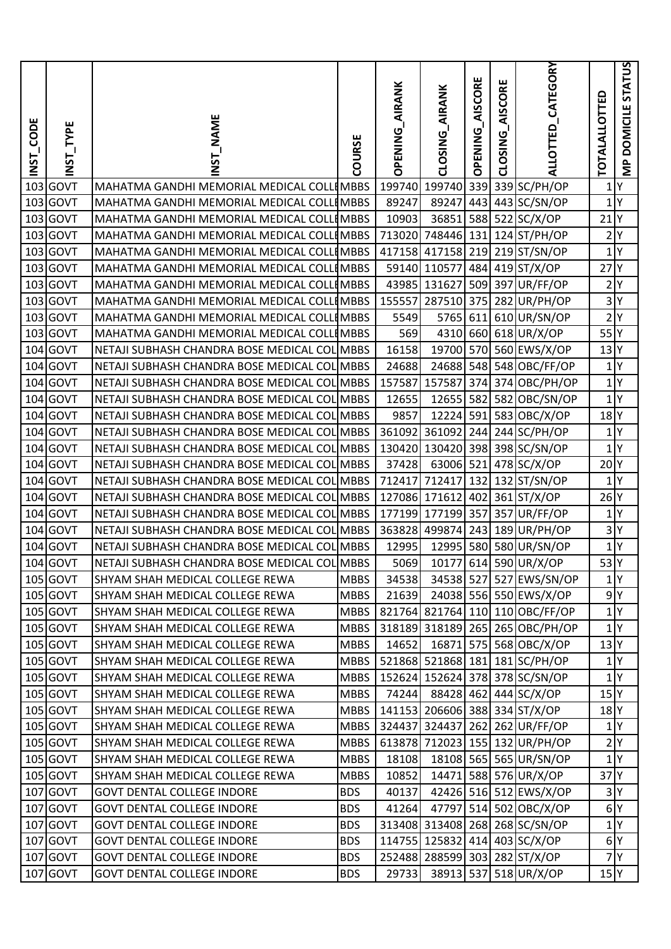| <b>ECODE</b><br><b>ISNI</b> | INST_TYPE   | NST NAME                                     | COURSE      | <b>AIRANK</b><br><b>OPENING</b> | CLOSING AIRANK | <b>OPENING_AISCORE</b> | AISCORE<br>CLOSING | ALLOTTED_CATEGORY               | <b>TOTALALLOTTED</b> | MP DOMICILE STATUS |
|-----------------------------|-------------|----------------------------------------------|-------------|---------------------------------|----------------|------------------------|--------------------|---------------------------------|----------------------|--------------------|
| 103                         | GOVT        | MAHATMA GANDHI MEMORIAL MEDICAL COLLEMBBS    |             | 199740                          | 199740         | 339                    |                    | 339 SC/PH/OP                    | 1                    | Υ                  |
| 103                         | GOVT        | MAHATMA GANDHI MEMORIAL MEDICAL COLLIMBBS    |             | 89247                           | 89247          |                        |                    | 443 443 SC/SN/OP                | 1 Y                  |                    |
| 103                         | GOVT        | MAHATMA GANDHI MEMORIAL MEDICAL COLLIMBBS    |             | 10903                           | 36851          |                        |                    | 588 522 SC/X/OP                 | $21$ $Y$             |                    |
|                             | 103 GOVT    | MAHATMA GANDHI MEMORIAL MEDICAL COLLIMBBS    |             | 713020                          | 748446 131     |                        |                    | 124 ST/PH/OP                    | 2 Y                  |                    |
|                             | 103 GOVT    | MAHATMA GANDHI MEMORIAL MEDICAL COLLIMBBS    |             |                                 |                |                        |                    | 417158 417158 219 219 ST/SN/OP  | 1 Y                  |                    |
|                             | 103 GOVT    | MAHATMA GANDHI MEMORIAL MEDICAL COLLIMBBS    |             |                                 | 59140 110577   |                        |                    | 484 419 ST/X/OP                 | $27$ <sup>Y</sup>    |                    |
|                             | 103 GOVT    | MAHATMA GANDHI MEMORIAL MEDICAL COLLIMBBS    |             |                                 | 43985 131627   |                        |                    | 509 397 UR/FF/OP                | 2 Y                  |                    |
| 103                         | GOVT        | MAHATMA GANDHI MEMORIAL MEDICAL COLLIMBBS    |             | 155557                          | 287510 375     |                        |                    | 282 UR/PH/OP                    | 3 Y                  |                    |
| 103                         | <b>GOVT</b> | MAHATMA GANDHI MEMORIAL MEDICAL COLLIMBBS    |             | 5549                            | 5765           | 611                    |                    | 610 UR/SN/OP                    | 2 Y                  |                    |
|                             | 103 GOVT    | MAHATMA GANDHI MEMORIAL MEDICAL COLLIMBBS    |             | 569                             |                |                        |                    | 4310 660 618 UR/X/OP            | 55                   |                    |
|                             | 104 GOVT    | NETAJI SUBHASH CHANDRA BOSE MEDICAL COL MBBS |             | 16158                           | 19700          |                        |                    | 570 560 EWS/X/OP                | 13 Y                 |                    |
|                             | 104 GOVT    | NETAJI SUBHASH CHANDRA BOSE MEDICAL COL MBBS |             | 24688                           |                |                        |                    | 24688 548 548 OBC/FF/OP         | $1$ $Y$              |                    |
| 104                         | GOVT        | NETAJI SUBHASH CHANDRA BOSE MEDICAL COL MBBS |             | 157587                          | 157587         | 374                    |                    | 374 OBC/PH/OP                   |                      | 1 Y                |
|                             | 104 GOVT    | NETAJI SUBHASH CHANDRA BOSE MEDICAL COL MBBS |             | 12655                           | 12655 582      |                        |                    | 582 OBC/SN/OP                   | 1 Y                  |                    |
| 104                         | GOVT        | NETAJI SUBHASH CHANDRA BOSE MEDICAL COL MBBS |             | 9857                            | 12224 591      |                        |                    | 583 OBC/X/OP                    | $18$ <sup>Y</sup>    |                    |
|                             | 104 GOVT    | NETAJI SUBHASH CHANDRA BOSE MEDICAL COL MBBS |             |                                 | 361092 361092  |                        |                    | 244 244 SC/PH/OP                | 1 Y                  |                    |
|                             | 104 GOVT    | NETAJI SUBHASH CHANDRA BOSE MEDICAL COL MBBS |             |                                 |                |                        |                    | 130420 130420 398 398 SC/SN/OP  | $1$ $Y$              |                    |
| 104                         | <b>GOVT</b> | NETAJI SUBHASH CHANDRA BOSE MEDICAL COL MBBS |             | 37428                           | 63006 521      |                        |                    | $478$ SC/X/OP                   | 20 <sup>Y</sup>      |                    |
|                             | 104 GOVT    | NETAJI SUBHASH CHANDRA BOSE MEDICAL COL MBBS |             | 712417 712417                   |                |                        |                    | 132 132 ST/SN/OP                | $1$ $Y$              |                    |
|                             | 104 GOVT    | NETAJI SUBHASH CHANDRA BOSE MEDICAL COL MBBS |             |                                 | 127086 171612  | 402                    |                    | $361$ ST/X/OP                   | $26$ <sup>Y</sup>    |                    |
| 104                         | GOVT        | NETAJI SUBHASH CHANDRA BOSE MEDICAL COL MBBS |             |                                 | 177199 177199  | 357                    | 357                | UR/FF/OP                        | 1 Y                  |                    |
| 104                         | GOVT        | NETAJI SUBHASH CHANDRA BOSE MEDICAL COL MBBS |             |                                 |                |                        |                    | 363828 499874 243 189 UR/PH/OP  | 3 Y                  |                    |
|                             | 104 GOVT    | NETAJI SUBHASH CHANDRA BOSE MEDICAL COL MBBS |             | 12995                           |                |                        |                    | 12995 580 580 UR/SN/OP          |                      | 1 Y                |
|                             | 104 GOVT    | NETAJI SUBHASH CHANDRA BOSE MEDICAL COL MBBS |             |                                 |                |                        |                    | 5069 10177 614 590 UR/X/OP      | $53\overline{Y}$     |                    |
|                             | 105 GOVT    | SHYAM SHAH MEDICAL COLLEGE REWA              | <b>MBBS</b> | 34538                           |                |                        |                    | 34538 527 527 EWS/SN/OP         |                      | 1 <sup>Y</sup>     |
|                             | $105$ GOVT  | SHYAM SHAH MEDICAL COLLEGE REWA              | MBBS        | 21639                           |                |                        |                    | 24038 556 550 EWS/X/OP          | 9 Y                  |                    |
|                             | $105$ GOVT  | SHYAM SHAH MEDICAL COLLEGE REWA              | MBBS        |                                 |                |                        |                    | 821764 821764 110 110 OBC/FF/OP | 1 Y                  |                    |
|                             | $105$ GOVT  | SHYAM SHAH MEDICAL COLLEGE REWA              | <b>MBBS</b> |                                 |                |                        |                    | 318189 318189 265 265 OBC/PH/OP | $1$ <sup>Y</sup>     |                    |
|                             | 105 GOVT    | SHYAM SHAH MEDICAL COLLEGE REWA              | <b>MBBS</b> | 14652                           |                |                        |                    | 16871 575 568 OBC/X/OP          | 13 Y                 |                    |
|                             | 105 GOVT    | SHYAM SHAH MEDICAL COLLEGE REWA              | <b>MBBS</b> |                                 |                |                        |                    | 521868 521868 181 181 SC/PH/OP  | $1$ <sup>Y</sup>     |                    |
|                             | 105 GOVT    | SHYAM SHAH MEDICAL COLLEGE REWA              | <b>MBBS</b> |                                 |                |                        |                    | 152624 152624 378 378 SC/SN/OP  |                      | 1 Y                |
|                             | 105 GOVT    | SHYAM SHAH MEDICAL COLLEGE REWA              | MBBS        | 74244                           |                |                        |                    | 88428 462 444 SC/X/OP           | 15 <sup>Y</sup>      |                    |
|                             | $105$ GOVT  | SHYAM SHAH MEDICAL COLLEGE REWA              | MBBS        |                                 |                |                        |                    | 141153 206606 388 334 ST/X/OP   | $18$ $Y$             |                    |
|                             | $105$ GOVT  | SHYAM SHAH MEDICAL COLLEGE REWA              | MBBS        |                                 |                |                        |                    | 324437 324437 262 262 UR/FF/OP  |                      | 1 Y                |
|                             | 105 GOVT    | SHYAM SHAH MEDICAL COLLEGE REWA              | <b>MBBS</b> |                                 |                |                        |                    | 613878 712023 155 132 UR/PH/OP  | 2 Y                  |                    |
|                             | 105 GOVT    | SHYAM SHAH MEDICAL COLLEGE REWA              | <b>MBBS</b> | 18108                           |                |                        |                    | 18108 565 565 UR/SN/OP          |                      | 1 <sup>Y</sup>     |
|                             | 105 GOVT    | SHYAM SHAH MEDICAL COLLEGE REWA              | <b>MBBS</b> | 10852                           |                |                        |                    | 14471 588 576 UR/X/OP           | 37 <sup>Y</sup>      |                    |
|                             | 107 GOVT    | <b>GOVT DENTAL COLLEGE INDORE</b>            | <b>BDS</b>  | 40137                           |                |                        |                    | 42426 516 512 EWS/X/OP          | 3 Y                  |                    |
|                             | 107 GOVT    | <b>GOVT DENTAL COLLEGE INDORE</b>            | <b>BDS</b>  | 41264                           | 47797          |                        |                    | 514 502 OBC/X/OP                | 6 <sup>Y</sup>       |                    |
| 107                         | <b>GOVT</b> | <b>GOVT DENTAL COLLEGE INDORE</b>            | <b>BDS</b>  |                                 |                |                        |                    | 313408 313408 268 268 SC/SN/OP  | 1 Y                  |                    |
|                             | 107 GOVT    | <b>GOVT DENTAL COLLEGE INDORE</b>            | <b>BDS</b>  |                                 |                |                        |                    | 114755 125832 414 403 SC/X/OP   | 6 <sup>Y</sup>       |                    |
|                             | 107 GOVT    | <b>GOVT DENTAL COLLEGE INDORE</b>            | <b>BDS</b>  |                                 |                |                        |                    | 252488 288599 303 282 ST/X/OP   |                      | 7 Y                |
|                             | 107 GOVT    | <b>GOVT DENTAL COLLEGE INDORE</b>            | <b>BDS</b>  | 29733                           |                |                        |                    | 38913 537 518 UR/X/OP           | $15$ <sup>Y</sup>    |                    |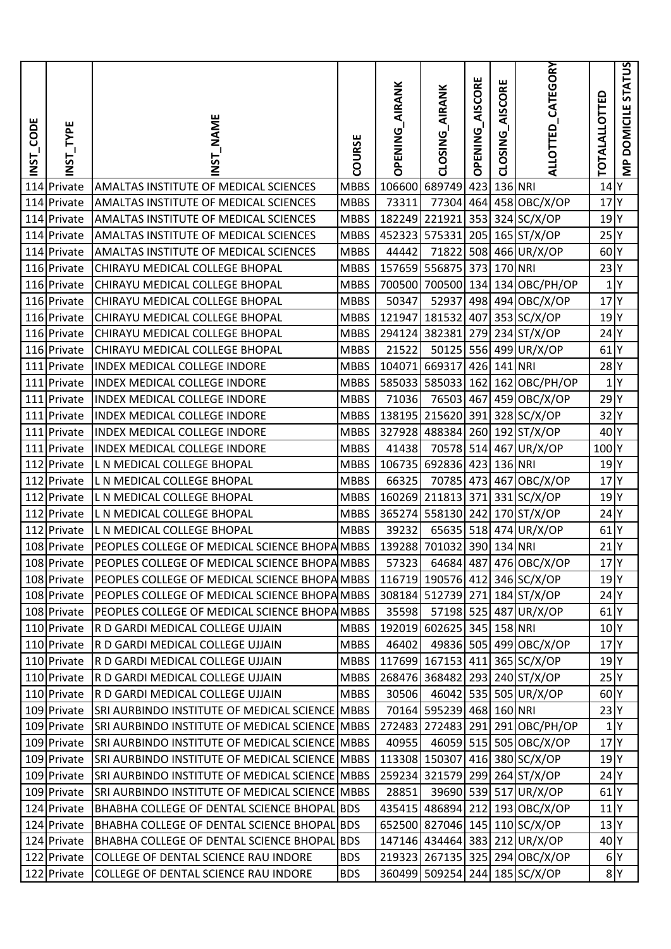| <b>ECODE</b><br><b>ISNI</b> | INST_TYPE   | <b>NAME</b><br>5<br>2                          | COURSE      | <b>AIRANK</b><br><b>OPENING</b> | <b>AIRANK</b><br><b>CLOSING</b> | AISCORE<br><b>OPENING</b> | AISCORE<br>CLOSING | ALLOTTED_CATEGORY               | TOTALALLOTTED     | DOMICILE STATUS<br>$\frac{P}{\sum}$ |
|-----------------------------|-------------|------------------------------------------------|-------------|---------------------------------|---------------------------------|---------------------------|--------------------|---------------------------------|-------------------|-------------------------------------|
| 114                         | Private     | AMALTAS INSTITUTE OF MEDICAL SCIENCES          | <b>MBBS</b> | 106600                          | 689749                          | 423                       |                    | 136 NRI                         | $14$ <sup>Y</sup> |                                     |
|                             | 114 Private | AMALTAS INSTITUTE OF MEDICAL SCIENCES          | <b>MBBS</b> | 73311                           | 77304                           |                           |                    | 464 458 OBC/X/OP                | 17                | 'l۲                                 |
|                             | 114 Private | AMALTAS INSTITUTE OF MEDICAL SCIENCES          | <b>MBBS</b> | 182249 221921                   |                                 |                           |                    | 353 324 SC/X/OP                 | $19$ <sup>Y</sup> |                                     |
|                             | 114 Private | AMALTAS INSTITUTE OF MEDICAL SCIENCES          | <b>MBBS</b> | 452323                          | 575331                          | 205                       |                    | 165 ST/X/OP                     | 25 <sup>Y</sup>   |                                     |
|                             | 114 Private | AMALTAS INSTITUTE OF MEDICAL SCIENCES          | <b>MBBS</b> | 44442                           | 71822                           |                           |                    | 508 466 UR/X/OP                 | 60 <sup>Y</sup>   |                                     |
|                             | 116 Private | CHIRAYU MEDICAL COLLEGE BHOPAL                 | <b>MBBS</b> |                                 | 157659 556875                   | 373                       |                    | 170 NRI                         | 23 Y              |                                     |
|                             | 116 Private | CHIRAYU MEDICAL COLLEGE BHOPAL                 | <b>MBBS</b> |                                 | 700500 700500                   |                           |                    | 134 134 OBC/PH/OP               | 1 Y               |                                     |
|                             | 116 Private | CHIRAYU MEDICAL COLLEGE BHOPAL                 | <b>MBBS</b> | 50347                           | 52937                           |                           |                    | 498 494 OBC/X/OP                | $17$ <sup>Y</sup> |                                     |
|                             | 116 Private | CHIRAYU MEDICAL COLLEGE BHOPAL                 | <b>MBBS</b> | 121947                          | 181532                          | 407                       |                    | 353 SC/X/OP                     | $19$ <sup>Y</sup> |                                     |
|                             | 116 Private | CHIRAYU MEDICAL COLLEGE BHOPAL                 | <b>MBBS</b> | 294124 382381                   |                                 | 279                       |                    | $234$ ST/X/OP                   | $24$ Y            |                                     |
|                             | 116 Private | CHIRAYU MEDICAL COLLEGE BHOPAL                 | <b>MBBS</b> | 21522                           | 50125                           |                           |                    | 556 499 UR/X/OP                 | $61$ <sup>Y</sup> |                                     |
|                             | 111 Private | <b>INDEX MEDICAL COLLEGE INDORE</b>            | <b>MBBS</b> | 104071 669317                   |                                 |                           | 426 141 NRI        |                                 | $28$ <sup>Y</sup> |                                     |
|                             | 111 Private | <b>INDEX MEDICAL COLLEGE INDORE</b>            | <b>MBBS</b> |                                 | 585033 585033                   | 162                       |                    | 162 OBC/PH/OP                   | 1 Y               |                                     |
|                             | 111 Private | <b>INDEX MEDICAL COLLEGE INDORE</b>            | <b>MBBS</b> | 71036                           | 76503                           | 467                       |                    | 459 OBC/X/OP                    | $29$ <sup>Y</sup> |                                     |
| 111                         | Private     | <b>INDEX MEDICAL COLLEGE INDORE</b>            | <b>MBBS</b> |                                 | 138195 215620                   | 391                       |                    | 328 SC/X/OP                     | $32$ Y            |                                     |
|                             | 111 Private | INDEX MEDICAL COLLEGE INDORE                   | <b>MBBS</b> |                                 | 327928 488384                   |                           |                    | 260 192 ST/X/OP                 | 40 <sup>Y</sup>   |                                     |
|                             | 111 Private | <b>INDEX MEDICAL COLLEGE INDORE</b>            | <b>MBBS</b> | 41438                           |                                 |                           |                    | 70578 514 467 UR/X/OP           | 100Y              |                                     |
|                             | 112 Private | L N MEDICAL COLLEGE BHOPAL                     | <b>MBBS</b> |                                 | 106735 692836                   | 423                       |                    | 136 NRI                         | 19 <sup>Y</sup>   |                                     |
|                             | 112 Private | L N MEDICAL COLLEGE BHOPAL                     | <b>MBBS</b> | 66325                           | 70785                           |                           |                    | 473 467 OBC/X/OP                | 17 <sup>N</sup>   |                                     |
|                             | 112 Private | L N MEDICAL COLLEGE BHOPAL                     | <b>MBBS</b> |                                 | 160269 211813                   | 371                       |                    | $331$ SC/X/OP                   | 19 <sup>Y</sup>   |                                     |
|                             | 112 Private | L N MEDICAL COLLEGE BHOPAL                     | <b>MBBS</b> |                                 | 365274 558130                   | 242                       |                    | $170$ ST/X/OP                   | $24$ <sup>Y</sup> |                                     |
| 112                         | Private     | L N MEDICAL COLLEGE BHOPAL                     | <b>MBBS</b> | 39232                           | 65635 518                       |                           |                    | 474 UR/X/OP                     | $61$ <sup>Y</sup> |                                     |
|                             | 108 Private | PEOPLES COLLEGE OF MEDICAL SCIENCE BHOPA MBBS  |             |                                 | 139288 701032 390 134 NRI       |                           |                    |                                 | $21$ Y            |                                     |
|                             | 108 Private | PEOPLES COLLEGE OF MEDICAL SCIENCE BHOPA MBBS  |             |                                 |                                 |                           |                    | 57323 64684 487 476 OBC/X/OP    | $17$ <sup>Y</sup> |                                     |
|                             | 108 Private | PEOPLES COLLEGE OF MEDICAL SCIENCE BHOPA MBBS  |             |                                 |                                 |                           |                    | 116719 190576 412 346 SC/X/OP   | 19 <sup>Y</sup>   |                                     |
|                             | 108 Private | PEOPLES COLLEGE OF MEDICAL SCIENCE BHOPA MBBS  |             |                                 |                                 |                           |                    | 308184 512739 271 184 ST/X/OP   | $24$ Y            |                                     |
|                             | 108 Private | PEOPLES COLLEGE OF MEDICAL SCIENCE BHOPA MBBS  |             | 35598                           |                                 |                           |                    | 57198 525 487 UR/X/OP           | $61$ <sup>Y</sup> |                                     |
|                             | 110 Private | R D GARDI MEDICAL COLLEGE UJJAIN               | MBBS        |                                 | 192019 602625 345 158 NRI       |                           |                    |                                 | 10 <sup>Y</sup>   |                                     |
|                             | 110 Private | R D GARDI MEDICAL COLLEGE UJJAIN               | <b>MBBS</b> | 46402                           |                                 |                           |                    | 49836 505 499 OBC/X/OP          | 17 <sup>Y</sup>   |                                     |
|                             | 110 Private | R D GARDI MEDICAL COLLEGE UJJAIN               | <b>MBBS</b> |                                 |                                 |                           |                    | 117699 167153 411 365 SC/X/OP   | 19 <sup>Y</sup>   |                                     |
|                             | 110 Private | R D GARDI MEDICAL COLLEGE UJJAIN               | <b>MBBS</b> |                                 |                                 |                           |                    | 268476 368482 293 240 ST/X/OP   | 25 <sup>Y</sup>   |                                     |
|                             | 110 Private | R D GARDI MEDICAL COLLEGE UJJAIN               | <b>MBBS</b> | 30506                           |                                 |                           |                    | 46042 535 505 UR/X/OP           | 60 <sup>Y</sup>   |                                     |
|                             | 109 Private | SRI AURBINDO INSTITUTE OF MEDICAL SCIENCE MBBS |             |                                 | 70164 595239 468 160 NRI        |                           |                    |                                 | 23 Y              |                                     |
|                             | 109 Private | SRI AURBINDO INSTITUTE OF MEDICAL SCIENCE MBBS |             |                                 |                                 |                           |                    | 272483 272483 291 291 OBC/PH/OP | 1 Y               |                                     |
|                             | 109 Private | SRI AURBINDO INSTITUTE OF MEDICAL SCIENCE MBBS |             | 40955                           |                                 |                           |                    | 46059 515 505 OBC/X/OP          | 17 <sup>Y</sup>   |                                     |
|                             | 109 Private | SRI AURBINDO INSTITUTE OF MEDICAL SCIENCE MBBS |             |                                 |                                 |                           |                    | 113308 150307 416 380 SC/X/OP   | $19$ <sup>Y</sup> |                                     |
|                             | 109 Private | SRI AURBINDO INSTITUTE OF MEDICAL SCIENCE MBBS |             |                                 |                                 |                           |                    | 259234 321579 299 264 ST/X/OP   | $24$ Y            |                                     |
|                             | 109 Private | SRI AURBINDO INSTITUTE OF MEDICAL SCIENCE MBBS |             | 28851                           |                                 |                           |                    | 39690 539 517 UR/X/OP           | $61$ <sup>Y</sup> |                                     |
|                             | 124 Private | BHABHA COLLEGE OF DENTAL SCIENCE BHOPAL BDS    |             |                                 |                                 |                           |                    | 435415 486894 212 193 OBC/X/OP  | $11$ <sup>Y</sup> |                                     |
|                             | 124 Private | BHABHA COLLEGE OF DENTAL SCIENCE BHOPAL BDS    |             |                                 |                                 |                           |                    | 652500 827046 145 110 SC/X/OP   | 13 <sup>Y</sup>   |                                     |
|                             | 124 Private | BHABHA COLLEGE OF DENTAL SCIENCE BHOPAL BDS    |             |                                 |                                 |                           |                    | 147146 434464 383 212 UR/X/OP   | 40 <sup>Y</sup>   |                                     |
|                             | 122 Private | COLLEGE OF DENTAL SCIENCE RAU INDORE           | <b>BDS</b>  |                                 |                                 |                           |                    | 219323 267135 325 294 OBC/X/OP  | 6 Y               |                                     |
|                             | 122 Private | COLLEGE OF DENTAL SCIENCE RAU INDORE           | <b>BDS</b>  |                                 |                                 |                           |                    | 360499 509254 244 185 SC/X/OP   | 8 <sup>Y</sup>    |                                     |